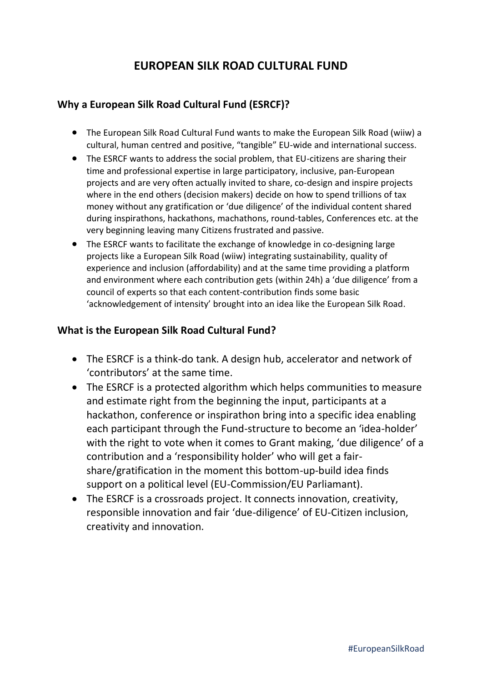# **EUROPEAN SILK ROAD CULTURAL FUND**

## **Why a European Silk Road Cultural Fund (ESRCF)?**

- The European Silk Road Cultural Fund wants to make the European Silk Road (wiiw) a cultural, human centred and positive, "tangible" EU-wide and international success.
- The ESRCF wants to address the social problem, that EU-citizens are sharing their time and professional expertise in large participatory, inclusive, pan-European projects and are very often actually invited to share, co-design and inspire projects where in the end others (decision makers) decide on how to spend trillions of tax money without any gratification or 'due diligence' of the individual content shared during inspirathons, hackathons, machathons, round-tables, Conferences etc. at the very beginning leaving many Citizens frustrated and passive.
- The ESRCF wants to facilitate the exchange of knowledge in co-designing large projects like a European Silk Road (wiiw) integrating sustainability, quality of experience and inclusion (affordability) and at the same time providing a platform and environment where each contribution gets (within 24h) a 'due diligence' from a council of experts so that each content-contribution finds some basic 'acknowledgement of intensity' brought into an idea like the European Silk Road.

## **What is the European Silk Road Cultural Fund?**

- The ESRCF is a think-do tank. A design hub, accelerator and network of 'contributors' at the same time.
- The ESRCF is a protected algorithm which helps communities to measure and estimate right from the beginning the input, participants at a hackathon, conference or inspirathon bring into a specific idea enabling each participant through the Fund-structure to become an 'idea-holder' with the right to vote when it comes to Grant making, 'due diligence' of a contribution and a 'responsibility holder' who will get a fairshare/gratification in the moment this bottom-up-build idea finds support on a political level (EU-Commission/EU Parliamant).
- The ESRCF is a crossroads project. It connects innovation, creativity, responsible innovation and fair 'due-diligence' of EU-Citizen inclusion, creativity and innovation.